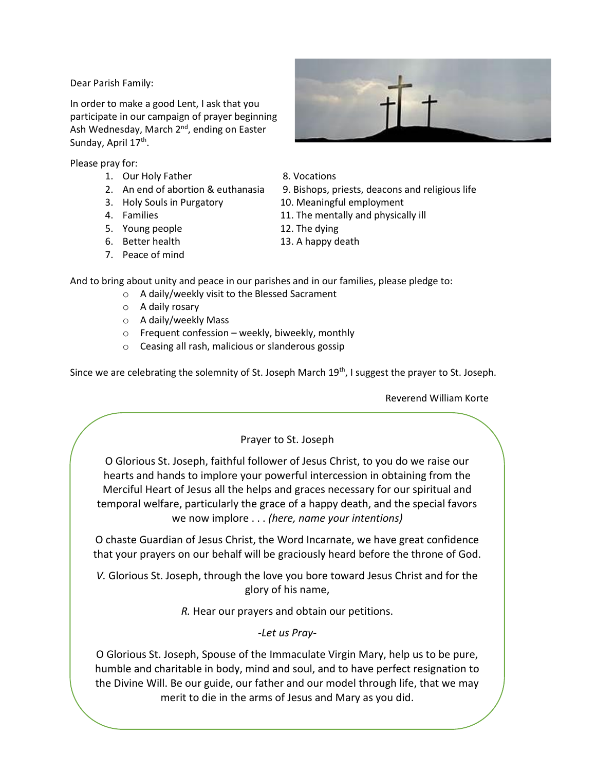Dear Parish Family:

In order to make a good Lent, I ask that you participate in our campaign of prayer beginning Ash Wednesday, March 2<sup>nd</sup>, ending on Easter Sunday, April 17<sup>th</sup>.

Please pray for:

- 1. Our Holy Father 8. Vocations
- 
- 
- 
- 5. Young people 12. The dying
- 
- 7. Peace of mind
- 
- 
- 2. An end of abortion & euthanasia 9. Bishops, priests, deacons and religious life
- 3. Holy Souls in Purgatory 10. Meaningful employment
- 4. Families 11. The mentally and physically ill
	-
- 6. Better health 13. A happy death

And to bring about unity and peace in our parishes and in our families, please pledge to:

- o A daily/weekly visit to the Blessed Sacrament
- o A daily rosary
- o A daily/weekly Mass
- o Frequent confession weekly, biweekly, monthly
- o Ceasing all rash, malicious or slanderous gossip

Since we are celebrating the solemnity of St. Joseph March 19<sup>th</sup>, I suggest the prayer to St. Joseph.

Reverend William Korte

## Prayer to St. Joseph

O Glorious St. Joseph, faithful follower of Jesus Christ, to you do we raise our hearts and hands to implore your powerful intercession in obtaining from the Merciful Heart of Jesus all the helps and graces necessary for our spiritual and temporal welfare, particularly the grace of a happy death, and the special favors we now implore . . . *(here, name your intentions)* 

O chaste Guardian of Jesus Christ, the Word Incarnate, we have great confidence that your prayers on our behalf will be graciously heard before the throne of God.

*V.* Glorious St. Joseph, through the love you bore toward Jesus Christ and for the glory of his name,

*R.* Hear our prayers and obtain our petitions.

*-Let us Pray-*

O Glorious St. Joseph, Spouse of the Immaculate Virgin Mary, help us to be pure, humble and charitable in body, mind and soul, and to have perfect resignation to the Divine Will. Be our guide, our father and our model through life, that we may merit to die in the arms of Jesus and Mary as you did.